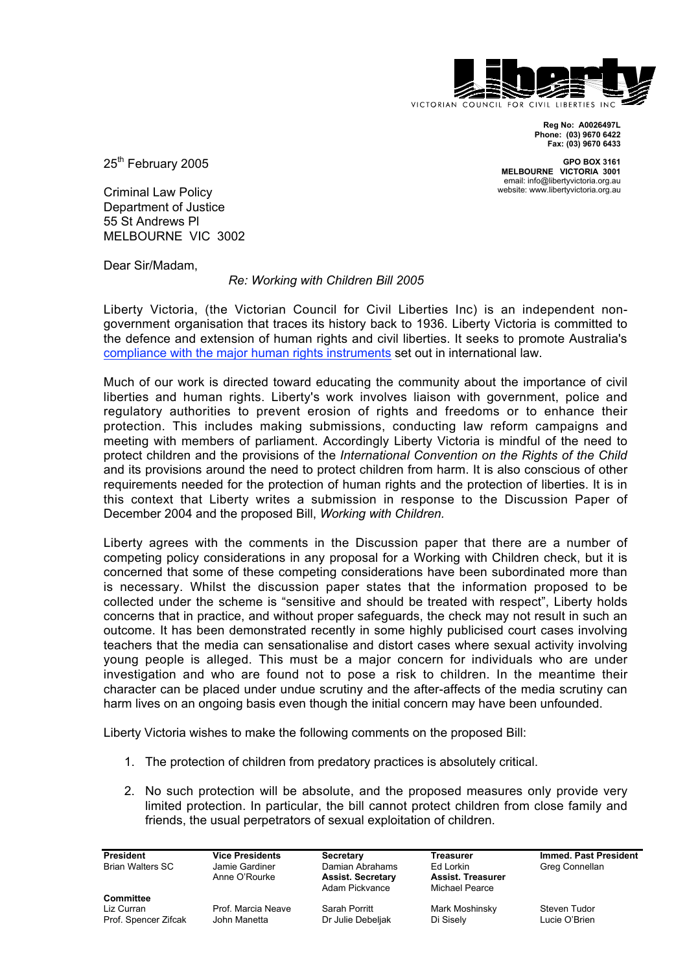

**Reg No: A0026497L Phone: (03) 9670 6422 Fax: (03) 9670 6433**

**GPO BOX 3161 MELBOURNE VICTORIA 3001** email: info@libertyvictoria.org.au website: www.libertyvictoria.org.au

25<sup>th</sup> February 2005

Criminal Law Policy Department of Justice 55 St Andrews Pl MELBOURNE VIC 3002

Dear Sir/Madam,

## *Re: Working with Children Bill 2005*

Liberty Victoria, (the Victorian Council for Civil Liberties Inc) is an independent nongovernment organisation that traces its history back to 1936. Liberty Victoria is committed to the defence and extension of human rights and civil liberties. It seeks to promote Australia's compliance with the major human rights instruments set out in international law.

Much of our work is directed toward educating the community about the importance of civil liberties and human rights. Liberty's work involves liaison with government, police and regulatory authorities to prevent erosion of rights and freedoms or to enhance their protection. This includes making submissions, conducting law reform campaigns and meeting with members of parliament. Accordingly Liberty Victoria is mindful of the need to protect children and the provisions of the *International Convention on the Rights of the Child* and its provisions around the need to protect children from harm. It is also conscious of other requirements needed for the protection of human rights and the protection of liberties. It is in this context that Liberty writes a submission in response to the Discussion Paper of December 2004 and the proposed Bill, *Working with Children.*

Liberty agrees with the comments in the Discussion paper that there are a number of competing policy considerations in any proposal for a Working with Children check, but it is concerned that some of these competing considerations have been subordinated more than is necessary. Whilst the discussion paper states that the information proposed to be collected under the scheme is "sensitive and should be treated with respect", Liberty holds concerns that in practice, and without proper safeguards, the check may not result in such an outcome. It has been demonstrated recently in some highly publicised court cases involving teachers that the media can sensationalise and distort cases where sexual activity involving young people is alleged. This must be a major concern for individuals who are under investigation and who are found not to pose a risk to children. In the meantime their character can be placed under undue scrutiny and the after-affects of the media scrutiny can harm lives on an ongoing basis even though the initial concern may have been unfounded.

Liberty Victoria wishes to make the following comments on the proposed Bill:

- 1. The protection of children from predatory practices is absolutely critical.
- 2. No such protection will be absolute, and the proposed measures only provide very limited protection. In particular, the bill cannot protect children from close family and friends, the usual perpetrators of sexual exploitation of children.

Prof. Spencer Zifcak

**Committee**

Jamie Gardiner **Schwalters Chamian Abrahams** Ed Lorkin Greg Connellan Anne O'Rourke **Assist. Secretary Assist. Treasurer** Adam Pickvance

Liz Curran **Prof. Marcia Neave Sarah Porritt** Mark Moshinsky Steven Tudor Chrof. Spencer Zifcak John Manetta Dr Julie Debeliak Di Sisely Lucie O'Brien

**President Vice Presidents Secretary Treasurer Immed. Past President**<br> **Rrian Walters SC Ilamie Gardiner Damian Abrahams Ed Lorkin Greg Connellan**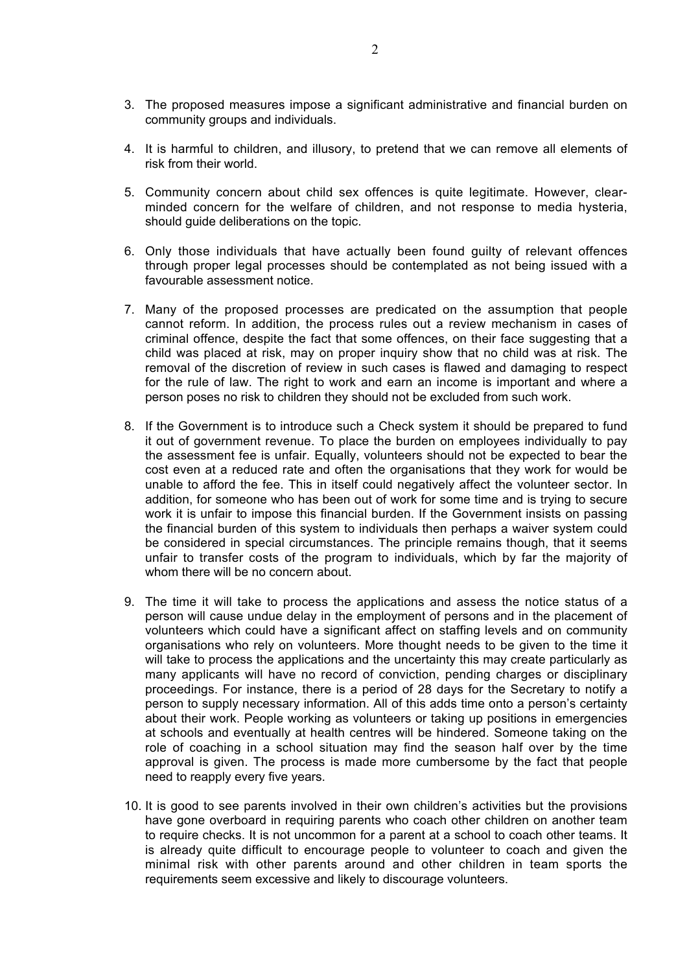- 3. The proposed measures impose a significant administrative and financial burden on community groups and individuals.
- 4. It is harmful to children, and illusory, to pretend that we can remove all elements of risk from their world.
- 5. Community concern about child sex offences is quite legitimate. However, clearminded concern for the welfare of children, and not response to media hysteria, should guide deliberations on the topic.
- 6. Only those individuals that have actually been found guilty of relevant offences through proper legal processes should be contemplated as not being issued with a favourable assessment notice.
- 7. Many of the proposed processes are predicated on the assumption that people cannot reform. In addition, the process rules out a review mechanism in cases of criminal offence, despite the fact that some offences, on their face suggesting that a child was placed at risk, may on proper inquiry show that no child was at risk. The removal of the discretion of review in such cases is flawed and damaging to respect for the rule of law. The right to work and earn an income is important and where a person poses no risk to children they should not be excluded from such work.
- 8. If the Government is to introduce such a Check system it should be prepared to fund it out of government revenue. To place the burden on employees individually to pay the assessment fee is unfair. Equally, volunteers should not be expected to bear the cost even at a reduced rate and often the organisations that they work for would be unable to afford the fee. This in itself could negatively affect the volunteer sector. In addition, for someone who has been out of work for some time and is trying to secure work it is unfair to impose this financial burden. If the Government insists on passing the financial burden of this system to individuals then perhaps a waiver system could be considered in special circumstances. The principle remains though, that it seems unfair to transfer costs of the program to individuals, which by far the majority of whom there will be no concern about.
- 9. The time it will take to process the applications and assess the notice status of a person will cause undue delay in the employment of persons and in the placement of volunteers which could have a significant affect on staffing levels and on community organisations who rely on volunteers. More thought needs to be given to the time it will take to process the applications and the uncertainty this may create particularly as many applicants will have no record of conviction, pending charges or disciplinary proceedings. For instance, there is a period of 28 days for the Secretary to notify a person to supply necessary information. All of this adds time onto a person's certainty about their work. People working as volunteers or taking up positions in emergencies at schools and eventually at health centres will be hindered. Someone taking on the role of coaching in a school situation may find the season half over by the time approval is given. The process is made more cumbersome by the fact that people need to reapply every five years.
- 10. It is good to see parents involved in their own children's activities but the provisions have gone overboard in requiring parents who coach other children on another team to require checks. It is not uncommon for a parent at a school to coach other teams. It is already quite difficult to encourage people to volunteer to coach and given the minimal risk with other parents around and other children in team sports the requirements seem excessive and likely to discourage volunteers.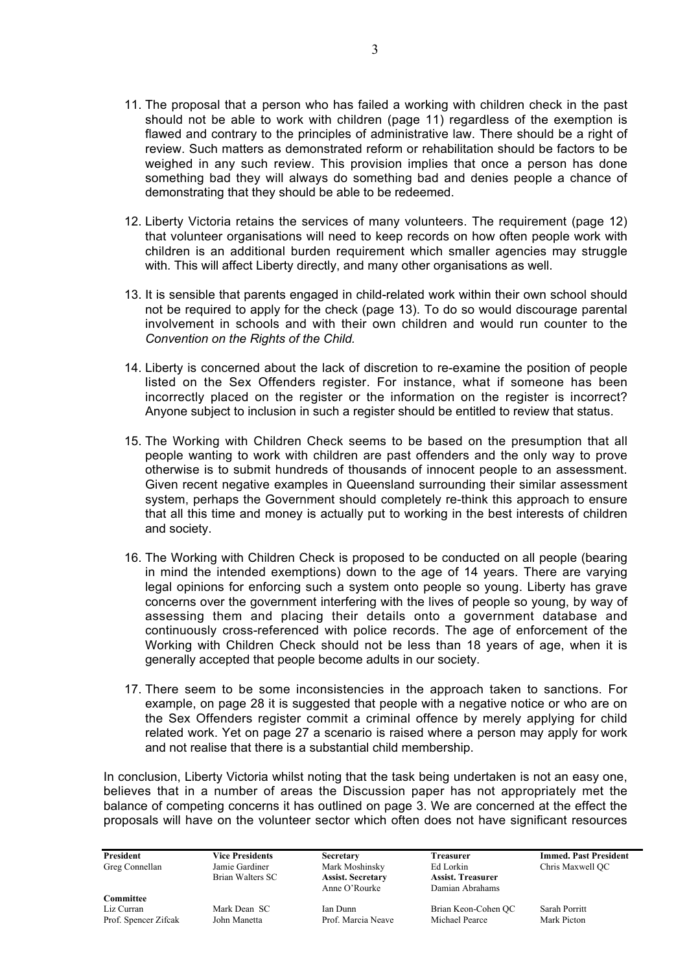- 11. The proposal that a person who has failed a working with children check in the past should not be able to work with children (page 11) regardless of the exemption is flawed and contrary to the principles of administrative law. There should be a right of review. Such matters as demonstrated reform or rehabilitation should be factors to be weighed in any such review. This provision implies that once a person has done something bad they will always do something bad and denies people a chance of demonstrating that they should be able to be redeemed.
- 12. Liberty Victoria retains the services of many volunteers. The requirement (page 12) that volunteer organisations will need to keep records on how often people work with children is an additional burden requirement which smaller agencies may struggle with. This will affect Liberty directly, and many other organisations as well.
- 13. It is sensible that parents engaged in child-related work within their own school should not be required to apply for the check (page 13). To do so would discourage parental involvement in schools and with their own children and would run counter to the *Convention on the Rights of the Child.*
- 14. Liberty is concerned about the lack of discretion to re-examine the position of people listed on the Sex Offenders register. For instance, what if someone has been incorrectly placed on the register or the information on the register is incorrect? Anyone subject to inclusion in such a register should be entitled to review that status.
- 15. The Working with Children Check seems to be based on the presumption that all people wanting to work with children are past offenders and the only way to prove otherwise is to submit hundreds of thousands of innocent people to an assessment. Given recent negative examples in Queensland surrounding their similar assessment system, perhaps the Government should completely re-think this approach to ensure that all this time and money is actually put to working in the best interests of children and society.
- 16. The Working with Children Check is proposed to be conducted on all people (bearing in mind the intended exemptions) down to the age of 14 years. There are varying legal opinions for enforcing such a system onto people so young. Liberty has grave concerns over the government interfering with the lives of people so young, by way of assessing them and placing their details onto a government database and continuously cross-referenced with police records. The age of enforcement of the Working with Children Check should not be less than 18 years of age, when it is generally accepted that people become adults in our society.
- 17. There seem to be some inconsistencies in the approach taken to sanctions. For example, on page 28 it is suggested that people with a negative notice or who are on the Sex Offenders register commit a criminal offence by merely applying for child related work. Yet on page 27 a scenario is raised where a person may apply for work and not realise that there is a substantial child membership.

In conclusion, Liberty Victoria whilst noting that the task being undertaken is not an easy one, believes that in a number of areas the Discussion paper has not appropriately met the balance of competing concerns it has outlined on page 3. We are concerned at the effect the proposals will have on the volunteer sector which often does not have significant resources

Greg Connellan Jamie Gardiner Mark Moshinsky Ed Lorkin Chris Maxwell QC

Brian Walters SC **Assist. Secretary Assist. Treasurer**

Damian Abrahams

**President Vice Presidents Secretary Treasurer Immed. Past President**

**Committee** Liz Curran Mark Dean SC Ian Dunn Brian Keon-Cohen QC Sarah Porritt Prof. Spencer Zifcak